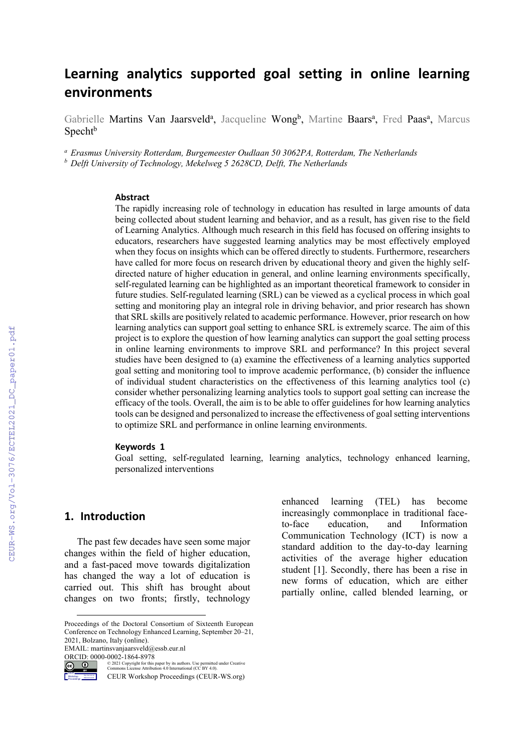# **Learning analytics supported goal setting in online learning environments**

Gabrielle Martins Van Jaarsveld<sup>a</sup>, Jacqueline Wong<sup>b</sup>, Martine Baars<sup>a</sup>, Fred Paas<sup>a</sup>, Marcus  $S<sub>pecht</sub>$ <sub>b</sub>

*<sup>a</sup> Erasmus University Rotterdam, Burgemeester Oudlaan 50 3062PA, Rotterdam, The Netherlands*

*<sup>b</sup> Delft University of Technology, Mekelweg 5 2628CD, Delft, The Netherlands*

#### **Abstract**

The rapidly increasing role of technology in education has resulted in large amounts of data being collected about student learning and behavior, and as a result, has given rise to the field of Learning Analytics. Although much research in this field has focused on offering insights to educators, researchers have suggested learning analytics may be most effectively employed when they focus on insights which can be offered directly to students. Furthermore, researchers have called for more focus on research driven by educational theory and given the highly selfdirected nature of higher education in general, and online learning environments specifically, self-regulated learning can be highlighted as an important theoretical framework to consider in future studies. Self-regulated learning (SRL) can be viewed as a cyclical process in which goal setting and monitoring play an integral role in driving behavior, and prior research has shown that SRL skills are positively related to academic performance. However, prior research on how learning analytics can support goal setting to enhance SRL is extremely scarce. The aim of this project is to explore the question of how learning analytics can support the goal setting process in online learning environments to improve SRL and performance? In this project several studies have been designed to (a) examine the effectiveness of a learning analytics supported goal setting and monitoring tool to improve academic performance, (b) consider the influence of individual student characteristics on the effectiveness of this learning analytics tool (c) consider whether personalizing learning analytics tools to support goal setting can increase the efficacy of the tools. Overall, the aim is to be able to offer guidelines for how learning analytics tools can be designed and personalized to increase the effectiveness of goal setting interventions to optimize SRL and performance in online learning environments.

#### **Keywords 1**

Goal setting, self-regulated learning, learning analytics, technology enhanced learning, personalized interventions

#### **1. Introduction**

The past few decades have seen some major changes within the field of higher education, and a fast-paced move towards digitalization has changed the way a lot of education is carried out. This shift has brought about changes on two fronts; firstly, technology

EMAIL: martinsvanjaarsveld@essb.eur.nl ORCID: 0000-0002-1864-8978



Workshop

© 2021 Copyright for this paper by its authors. Use permitted under Creative Commons License Attribution 4.0 International (CC BY 4.0).

CEUR Workshop Proceedings (CEUR-WS.org)

enhanced learning (TEL) has become increasingly commonplace in traditional faceto-face education, and Information Communication Technology (ICT) is now a standard addition to the day-to-day learning activities of the average higher education student [1]. Secondly, there has been a rise in new forms of education, which are either partially online, called blended learning, or

Proceedings of the Doctoral Consortium of Sixteenth European Conference on Technology Enhanced Learning, September 20–21, 2021, Bolzano, Italy (online).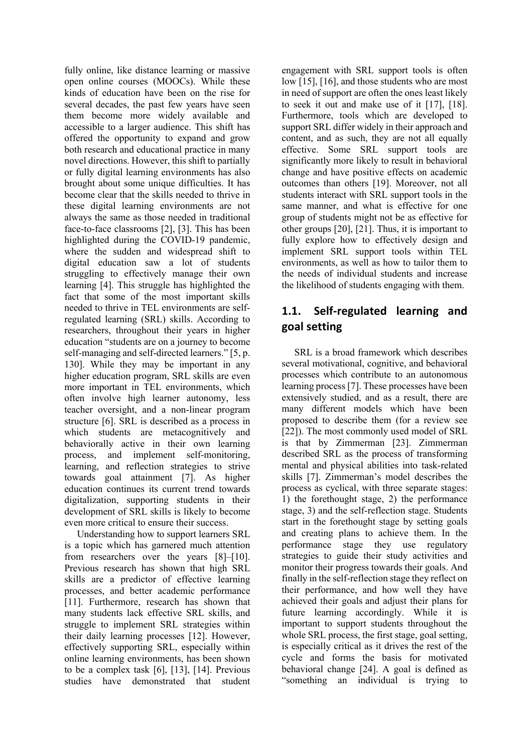fully online, like distance learning or massive open online courses (MOOCs). While these kinds of education have been on the rise for several decades, the past few years have seen them become more widely available and accessible to a larger audience. This shift has offered the opportunity to expand and grow both research and educational practice in many novel directions. However, this shift to partially or fully digital learning environments has also brought about some unique difficulties. It has become clear that the skills needed to thrive in these digital learning environments are not always the same as those needed in traditional face-to-face classrooms [2], [3]. This has been highlighted during the COVID-19 pandemic, where the sudden and widespread shift to digital education saw a lot of students struggling to effectively manage their own learning [4]. This struggle has highlighted the fact that some of the most important skills needed to thrive in TEL environments are selfregulated learning (SRL) skills. According to researchers, throughout their years in higher education "students are on a journey to become self-managing and self-directed learners." [5, p. 130]. While they may be important in any higher education program, SRL skills are even more important in TEL environments, which often involve high learner autonomy, less teacher oversight, and a non-linear program structure [6]. SRL is described as a process in which students are metacognitively and behaviorally active in their own learning process, and implement self-monitoring, learning, and reflection strategies to strive towards goal attainment [7]. As higher education continues its current trend towards digitalization, supporting students in their development of SRL skills is likely to become even more critical to ensure their success.

Understanding how to support learners SRL is a topic which has garnered much attention from researchers over the years [8]–[10]. Previous research has shown that high SRL skills are a predictor of effective learning processes, and better academic performance [11]. Furthermore, research has shown that many students lack effective SRL skills, and struggle to implement SRL strategies within their daily learning processes [12]. However, effectively supporting SRL, especially within online learning environments, has been shown to be a complex task [6], [13], [14]. Previous studies have demonstrated that student

engagement with SRL support tools is often low [15], [16], and those students who are most in need of support are often the ones least likely to seek it out and make use of it [17], [18]. Furthermore, tools which are developed to support SRL differ widely in their approach and content, and as such, they are not all equally effective. Some SRL support tools are significantly more likely to result in behavioral change and have positive effects on academic outcomes than others [19]. Moreover, not all students interact with SRL support tools in the same manner, and what is effective for one group of students might not be as effective for other groups [20], [21]. Thus, it is important to fully explore how to effectively design and implement SRL support tools within TEL environments, as well as how to tailor them to the needs of individual students and increase the likelihood of students engaging with them.

# **1.1. Self-regulated learning and goal setting**

SRL is a broad framework which describes several motivational, cognitive, and behavioral processes which contribute to an autonomous learning process [7]. These processes have been extensively studied, and as a result, there are many different models which have been proposed to describe them (for a review see [22]). The most commonly used model of SRL is that by Zimmerman [23]. Zimmerman described SRL as the process of transforming mental and physical abilities into task-related skills [7]. Zimmerman's model describes the process as cyclical, with three separate stages: 1) the forethought stage, 2) the performance stage, 3) and the self-reflection stage. Students start in the forethought stage by setting goals and creating plans to achieve them. In the performance stage they use regulatory strategies to guide their study activities and monitor their progress towards their goals. And finally in the self-reflection stage they reflect on their performance, and how well they have achieved their goals and adjust their plans for future learning accordingly. While it is important to support students throughout the whole SRL process, the first stage, goal setting, is especially critical as it drives the rest of the cycle and forms the basis for motivated behavioral change [24]. A goal is defined as "something an individual is trying to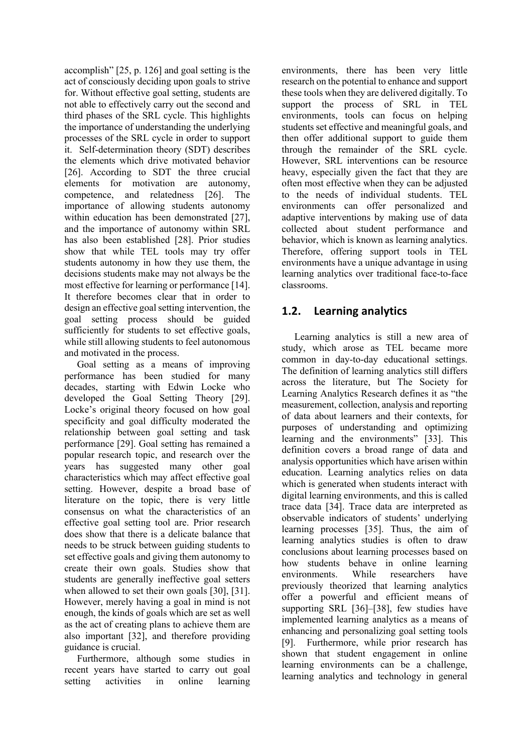accomplish" [25, p. 126] and goal setting is the act of consciously deciding upon goals to strive for. Without effective goal setting, students are not able to effectively carry out the second and third phases of the SRL cycle. This highlights the importance of understanding the underlying processes of the SRL cycle in order to support it. Self-determination theory (SDT) describes the elements which drive motivated behavior [26]. According to SDT the three crucial elements for motivation are autonomy, competence, and relatedness [26]. The importance of allowing students autonomy within education has been demonstrated [27], and the importance of autonomy within SRL has also been established [28]. Prior studies show that while TEL tools may try offer students autonomy in how they use them, the decisions students make may not always be the most effective for learning or performance [14]. It therefore becomes clear that in order to design an effective goal setting intervention, the goal setting process should be guided sufficiently for students to set effective goals, while still allowing students to feel autonomous and motivated in the process.

Goal setting as a means of improving performance has been studied for many decades, starting with Edwin Locke who developed the Goal Setting Theory [29]. Locke's original theory focused on how goal specificity and goal difficulty moderated the relationship between goal setting and task performance [29]. Goal setting has remained a popular research topic, and research over the years has suggested many other goal characteristics which may affect effective goal setting. However, despite a broad base of literature on the topic, there is very little consensus on what the characteristics of an effective goal setting tool are. Prior research does show that there is a delicate balance that needs to be struck between guiding students to set effective goals and giving them autonomy to create their own goals. Studies show that students are generally ineffective goal setters when allowed to set their own goals [30], [31]. However, merely having a goal in mind is not enough, the kinds of goals which are set as well as the act of creating plans to achieve them are also important [32], and therefore providing guidance is crucial.

Furthermore, although some studies in recent years have started to carry out goal setting activities in online learning

environments, there has been very little research on the potential to enhance and support these tools when they are delivered digitally. To support the process of SRL in TEL environments, tools can focus on helping students set effective and meaningful goals, and then offer additional support to guide them through the remainder of the SRL cycle. However, SRL interventions can be resource heavy, especially given the fact that they are often most effective when they can be adjusted to the needs of individual students. TEL environments can offer personalized and adaptive interventions by making use of data collected about student performance and behavior, which is known as learning analytics. Therefore, offering support tools in TEL environments have a unique advantage in using learning analytics over traditional face-to-face classrooms.

# **1.2. Learning analytics**

Learning analytics is still a new area of study, which arose as TEL became more common in day-to-day educational settings. The definition of learning analytics still differs across the literature, but The Society for Learning Analytics Research defines it as "the measurement, collection, analysis and reporting of data about learners and their contexts, for purposes of understanding and optimizing learning and the environments" [33]. This definition covers a broad range of data and analysis opportunities which have arisen within education. Learning analytics relies on data which is generated when students interact with digital learning environments, and this is called trace data [34]. Trace data are interpreted as observable indicators of students' underlying learning processes [35]. Thus, the aim of learning analytics studies is often to draw conclusions about learning processes based on how students behave in online learning environments. While researchers have previously theorized that learning analytics offer a powerful and efficient means of supporting SRL [36]–[38], few studies have implemented learning analytics as a means of enhancing and personalizing goal setting tools [9]. Furthermore, while prior research has shown that student engagement in online learning environments can be a challenge, learning analytics and technology in general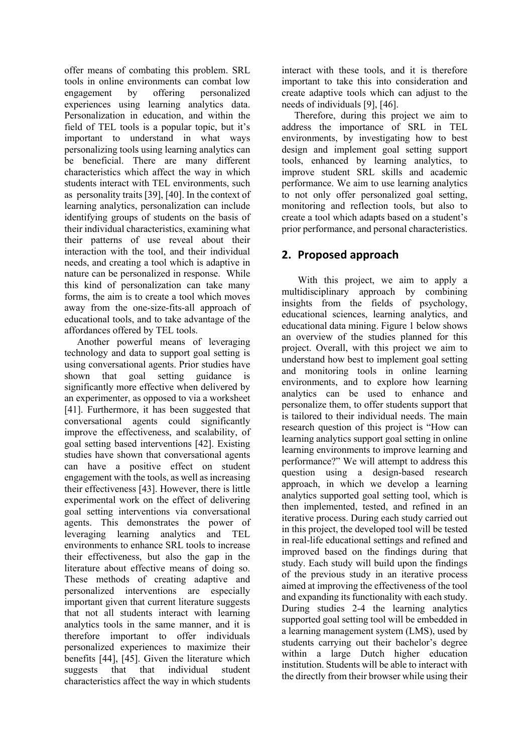offer means of combating this problem. SRL tools in online environments can combat low engagement by offering personalized experiences using learning analytics data. Personalization in education, and within the field of TEL tools is a popular topic, but it's important to understand in what ways personalizing tools using learning analytics can be beneficial. There are many different characteristics which affect the way in which students interact with TEL environments, such as personality traits [39], [40]. In the context of learning analytics, personalization can include identifying groups of students on the basis of their individual characteristics, examining what their patterns of use reveal about their interaction with the tool, and their individual needs, and creating a tool which is adaptive in nature can be personalized in response. While this kind of personalization can take many forms, the aim is to create a tool which moves away from the one-size-fits-all approach of educational tools, and to take advantage of the affordances offered by TEL tools.

Another powerful means of leveraging technology and data to support goal setting is using conversational agents. Prior studies have shown that goal setting guidance is significantly more effective when delivered by an experimenter, as opposed to via a worksheet [41]. Furthermore, it has been suggested that conversational agents could significantly improve the effectiveness, and scalability, of goal setting based interventions [42]. Existing studies have shown that conversational agents can have a positive effect on student engagement with the tools, as well as increasing their effectiveness [43]. However, there is little experimental work on the effect of delivering goal setting interventions via conversational agents. This demonstrates the power of leveraging learning analytics and TEL environments to enhance SRL tools to increase their effectiveness, but also the gap in the literature about effective means of doing so. These methods of creating adaptive and personalized interventions are especially important given that current literature suggests that not all students interact with learning analytics tools in the same manner, and it is therefore important to offer individuals personalized experiences to maximize their benefits [44], [45]. Given the literature which suggests that that individual student characteristics affect the way in which students

interact with these tools, and it is therefore important to take this into consideration and create adaptive tools which can adjust to the needs of individuals [9], [46].

Therefore, during this project we aim to address the importance of SRL in TEL environments, by investigating how to best design and implement goal setting support tools, enhanced by learning analytics, to improve student SRL skills and academic performance. We aim to use learning analytics to not only offer personalized goal setting, monitoring and reflection tools, but also to create a tool which adapts based on a student's prior performance, and personal characteristics.

# **2. Proposed approach**

With this project, we aim to apply a multidisciplinary approach by combining insights from the fields of psychology, educational sciences, learning analytics, and educational data mining. Figure 1 below shows an overview of the studies planned for this project. Overall, with this project we aim to understand how best to implement goal setting and monitoring tools in online learning environments, and to explore how learning analytics can be used to enhance and personalize them, to offer students support that is tailored to their individual needs. The main research question of this project is "How can learning analytics support goal setting in online learning environments to improve learning and performance?" We will attempt to address this question using a design-based research approach, in which we develop a learning analytics supported goal setting tool, which is then implemented, tested, and refined in an iterative process. During each study carried out in this project, the developed tool will be tested in real-life educational settings and refined and improved based on the findings during that study. Each study will build upon the findings of the previous study in an iterative process aimed at improving the effectiveness of the tool and expanding its functionality with each study. During studies 2-4 the learning analytics supported goal setting tool will be embedded in a learning management system (LMS), used by students carrying out their bachelor's degree within a large Dutch higher education institution. Students will be able to interact with the directly from their browser while using their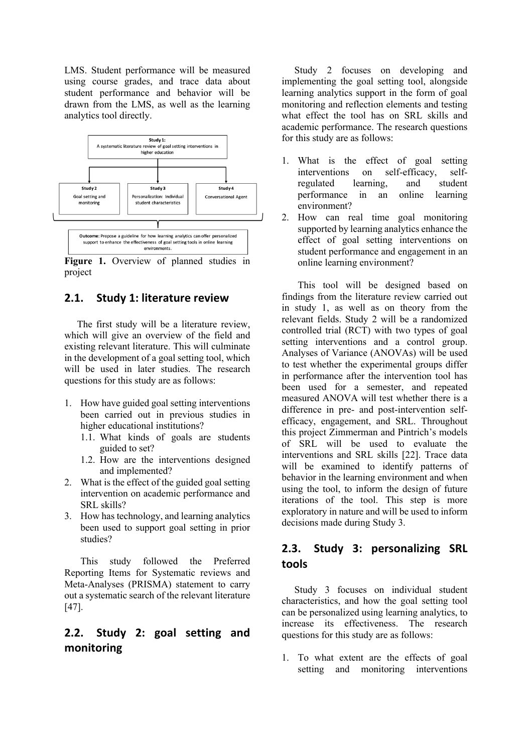LMS. Student performance will be measured using course grades, and trace data about student performance and behavior will be drawn from the LMS, as well as the learning analytics tool directly.



**Figure 1.** Overview of planned studies in project

### **2.1. Study 1: literature review**

The first study will be a literature review, which will give an overview of the field and existing relevant literature. This will culminate in the development of a goal setting tool, which will be used in later studies. The research questions for this study are as follows:

- 1. How have guided goal setting interventions been carried out in previous studies in higher educational institutions?
	- 1.1. What kinds of goals are students guided to set?
	- 1.2. How are the interventions designed and implemented?
- 2. What is the effect of the guided goal setting intervention on academic performance and SRL skills?
- 3. How has technology, and learning analytics been used to support goal setting in prior studies?

This study followed the Preferred Reporting Items for Systematic reviews and Meta-Analyses (PRISMA) statement to carry out a systematic search of the relevant literature [47].

# **2.2. Study 2: goal setting and monitoring**

Study 2 focuses on developing and implementing the goal setting tool, alongside learning analytics support in the form of goal monitoring and reflection elements and testing what effect the tool has on SRL skills and academic performance. The research questions for this study are as follows:

- 1. What is the effect of goal setting interventions on self-efficacy, selfregulated learning, and student performance in an online learning environment?
- 2. How can real time goal monitoring supported by learning analytics enhance the effect of goal setting interventions on student performance and engagement in an online learning environment?

This tool will be designed based on findings from the literature review carried out in study 1, as well as on theory from the relevant fields. Study 2 will be a randomized controlled trial (RCT) with two types of goal setting interventions and a control group. Analyses of Variance (ANOVAs) will be used to test whether the experimental groups differ in performance after the intervention tool has been used for a semester, and repeated measured ANOVA will test whether there is a difference in pre- and post-intervention selfefficacy, engagement, and SRL. Throughout this project Zimmerman and Pintrich's models of SRL will be used to evaluate the interventions and SRL skills [22]. Trace data will be examined to identify patterns of behavior in the learning environment and when using the tool, to inform the design of future iterations of the tool. This step is more exploratory in nature and will be used to inform decisions made during Study 3.

# **2.3. Study 3: personalizing SRL tools**

Study 3 focuses on individual student characteristics, and how the goal setting tool can be personalized using learning analytics, to increase its effectiveness. The research questions for this study are as follows:

1. To what extent are the effects of goal setting and monitoring interventions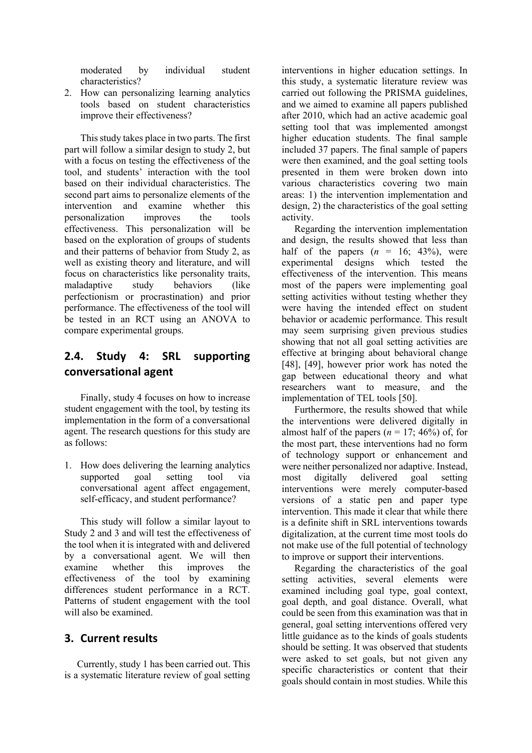moderated by individual student characteristics?

2. How can personalizing learning analytics tools based on student characteristics improve their effectiveness?

This study takes place in two parts. The first part will follow a similar design to study 2, but with a focus on testing the effectiveness of the tool, and students' interaction with the tool based on their individual characteristics. The second part aims to personalize elements of the intervention and examine whether this personalization improves the tools effectiveness. This personalization will be based on the exploration of groups of students and their patterns of behavior from Study 2, as well as existing theory and literature, and will focus on characteristics like personality traits, maladaptive study behaviors (like perfectionism or procrastination) and prior performance. The effectiveness of the tool will be tested in an RCT using an ANOVA to compare experimental groups.

# **2.4. Study 4: SRL supporting conversational agent**

Finally, study 4 focuses on how to increase student engagement with the tool, by testing its implementation in the form of a conversational agent. The research questions for this study are as follows:

1. How does delivering the learning analytics supported goal setting tool via conversational agent affect engagement, self-efficacy, and student performance?

This study will follow a similar layout to Study 2 and 3 and will test the effectiveness of the tool when it is integrated with and delivered by a conversational agent. We will then examine whether this improves the effectiveness of the tool by examining differences student performance in a RCT. Patterns of student engagement with the tool will also be examined.

## **3. Current results**

Currently, study 1 has been carried out. This is a systematic literature review of goal setting interventions in higher education settings. In this study, a systematic literature review was carried out following the PRISMA guidelines, and we aimed to examine all papers published after 2010, which had an active academic goal setting tool that was implemented amongst higher education students. The final sample included 37 papers. The final sample of papers were then examined, and the goal setting tools presented in them were broken down into various characteristics covering two main areas: 1) the intervention implementation and design, 2) the characteristics of the goal setting activity.

Regarding the intervention implementation and design, the results showed that less than half of the papers  $(n = 16; 43\%)$ , were experimental designs which tested the effectiveness of the intervention. This means most of the papers were implementing goal setting activities without testing whether they were having the intended effect on student behavior or academic performance. This result may seem surprising given previous studies showing that not all goal setting activities are effective at bringing about behavioral change [48], [49], however prior work has noted the gap between educational theory and what researchers want to measure, and the implementation of TEL tools [50].

Furthermore, the results showed that while the interventions were delivered digitally in almost half of the papers  $(n = 17; 46\%)$  of, for the most part, these interventions had no form of technology support or enhancement and were neither personalized nor adaptive. Instead, most digitally delivered goal setting interventions were merely computer-based versions of a static pen and paper type intervention. This made it clear that while there is a definite shift in SRL interventions towards digitalization, at the current time most tools do not make use of the full potential of technology to improve or support their interventions.

Regarding the characteristics of the goal setting activities, several elements were examined including goal type, goal context, goal depth, and goal distance. Overall, what could be seen from this examination was that in general, goal setting interventions offered very little guidance as to the kinds of goals students should be setting. It was observed that students were asked to set goals, but not given any specific characteristics or content that their goals should contain in most studies. While this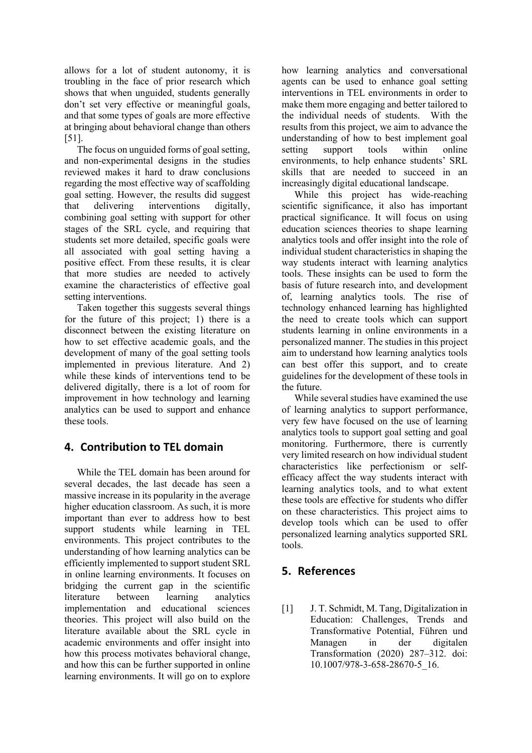allows for a lot of student autonomy, it is troubling in the face of prior research which shows that when unguided, students generally don't set very effective or meaningful goals, and that some types of goals are more effective at bringing about behavioral change than others [51].

The focus on unguided forms of goal setting, and non-experimental designs in the studies reviewed makes it hard to draw conclusions regarding the most effective way of scaffolding goal setting. However, the results did suggest that delivering interventions digitally, combining goal setting with support for other stages of the SRL cycle, and requiring that students set more detailed, specific goals were all associated with goal setting having a positive effect. From these results, it is clear that more studies are needed to actively examine the characteristics of effective goal setting interventions.

Taken together this suggests several things for the future of this project; 1) there is a disconnect between the existing literature on how to set effective academic goals, and the development of many of the goal setting tools implemented in previous literature. And 2) while these kinds of interventions tend to be delivered digitally, there is a lot of room for improvement in how technology and learning analytics can be used to support and enhance these tools.

# **4. Contribution to TEL domain**

While the TEL domain has been around for several decades, the last decade has seen a massive increase in its popularity in the average higher education classroom. As such, it is more important than ever to address how to best support students while learning in TEL environments. This project contributes to the understanding of how learning analytics can be efficiently implemented to support student SRL in online learning environments. It focuses on bridging the current gap in the scientific literature between learning analytics implementation and educational sciences theories. This project will also build on the literature available about the SRL cycle in academic environments and offer insight into how this process motivates behavioral change, and how this can be further supported in online learning environments. It will go on to explore

how learning analytics and conversational agents can be used to enhance goal setting interventions in TEL environments in order to make them more engaging and better tailored to the individual needs of students. With the results from this project, we aim to advance the understanding of how to best implement goal setting support tools within online environments, to help enhance students' SRL skills that are needed to succeed in an increasingly digital educational landscape.

While this project has wide-reaching scientific significance, it also has important practical significance. It will focus on using education sciences theories to shape learning analytics tools and offer insight into the role of individual student characteristics in shaping the way students interact with learning analytics tools. These insights can be used to form the basis of future research into, and development of, learning analytics tools. The rise of technology enhanced learning has highlighted the need to create tools which can support students learning in online environments in a personalized manner. The studies in this project aim to understand how learning analytics tools can best offer this support, and to create guidelines for the development of these tools in the future.

While several studies have examined the use of learning analytics to support performance, very few have focused on the use of learning analytics tools to support goal setting and goal monitoring. Furthermore, there is currently very limited research on how individual student characteristics like perfectionism or selfefficacy affect the way students interact with learning analytics tools, and to what extent these tools are effective for students who differ on these characteristics. This project aims to develop tools which can be used to offer personalized learning analytics supported SRL tools.

# **5. References**

[1] J. T. Schmidt, M. Tang, Digitalization in Education: Challenges, Trends and Transformative Potential, Führen und Managen in der digitalen Transformation (2020) 287–312. doi: 10.1007/978-3-658-28670-5\_16.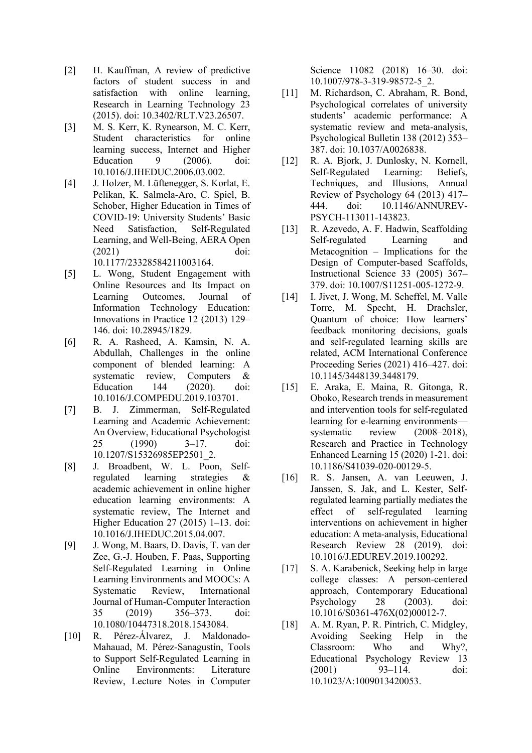- [2] H. Kauffman, A review of predictive factors of student success in and satisfaction with online learning, Research in Learning Technology 23 (2015). doi: 10.3402/RLT.V23.26507.
- [3] M. S. Kerr, K. Rynearson, M. C. Kerr, Student characteristics for online learning success, Internet and Higher Education 9 (2006). doi: 10.1016/J.IHEDUC.2006.03.002.
- [4] J. Holzer, M. Lüftenegger, S. Korlat, E. Pelikan, K. Salmela-Aro, C. Spiel, B. Schober, Higher Education in Times of COVID-19: University Students' Basic Need Satisfaction, Self-Regulated Learning, and Well-Being, AERA Open (2021) doi: 10.1177/23328584211003164.

- [5] L. Wong, Student Engagement with Online Resources and Its Impact on Learning Outcomes, Journal of Information Technology Education: Innovations in Practice 12 (2013) 129– 146. doi: 10.28945/1829.
- [6] R. A. Rasheed, A. Kamsin, N. A. Abdullah, Challenges in the online component of blended learning: A systematic review, Computers & Education 144 (2020). doi: 10.1016/J.COMPEDU.2019.103701.
- [7] B. J. Zimmerman, Self-Regulated Learning and Academic Achievement: An Overview, Educational Psychologist 25 (1990) 3–17. doi: 10.1207/S15326985EP2501\_2.
- [8] J. Broadbent, W. L. Poon, Selfregulated learning strategies & academic achievement in online higher education learning environments: A systematic review, The Internet and Higher Education 27 (2015) 1–13. doi: 10.1016/J.IHEDUC.2015.04.007.
- [9] J. Wong, M. Baars, D. Davis, T. van der Zee, G.-J. Houben, F. Paas, Supporting Self-Regulated Learning in Online Learning Environments and MOOCs: A Systematic Review, International Journal of Human-Computer Interaction 35 (2019) 356–373. doi: 10.1080/10447318.2018.1543084.
- [10] R. Pérez-Álvarez, J. Maldonado-Mahauad, M. Pérez-Sanagustín, Tools to Support Self-Regulated Learning in Online Environments: Literature Review, Lecture Notes in Computer

Science 11082 (2018) 16–30. doi: 10.1007/978-3-319-98572-5\_2.

- [11] M. Richardson, C. Abraham, R. Bond, Psychological correlates of university students' academic performance: A systematic review and meta-analysis, Psychological Bulletin 138 (2012) 353– 387. doi: 10.1037/A0026838.
- [12] R. A. Bjork, J. Dunlosky, N. Kornell, Self-Regulated Learning: Beliefs, Techniques, and Illusions, Annual Review of Psychology 64 (2013) 417– 444. doi: 10.1146/ANNUREV-PSYCH-113011-143823.
- [13] R. Azevedo, A. F. Hadwin, Scaffolding Self-regulated Learning and Metacognition – Implications for the Design of Computer-based Scaffolds, Instructional Science 33 (2005) 367– 379. doi: 10.1007/S11251-005-1272-9.
- [14] I. Jivet, J. Wong, M. Scheffel, M. Valle Torre, M. Specht, H. Drachsler, Quantum of choice: How learners' feedback monitoring decisions, goals and self-regulated learning skills are related, ACM International Conference Proceeding Series (2021) 416–427. doi: 10.1145/3448139.3448179.
- [15] E. Araka, E. Maina, R. Gitonga, R. Oboko, Research trends in measurement and intervention tools for self-regulated learning for e-learning environments systematic review (2008–2018), Research and Practice in Technology Enhanced Learning 15 (2020) 1-21. doi: 10.1186/S41039-020-00129-5.
- [16] R. S. Jansen, A. van Leeuwen, J. Janssen, S. Jak, and L. Kester, Selfregulated learning partially mediates the effect of self-regulated learning interventions on achievement in higher education: A meta-analysis, Educational Research Review 28 (2019). doi: 10.1016/J.EDUREV.2019.100292.
- [17] S. A. Karabenick, Seeking help in large college classes: A person-centered approach, Contemporary Educational Psychology 28 (2003). doi: 10.1016/S0361-476X(02)00012-7.
- [18] A. M. Ryan, P. R. Pintrich, C. Midgley, Avoiding Seeking Help in the Classroom: Who and Why?, Educational Psychology Review 13 (2001) 93–114. doi: 10.1023/A:1009013420053.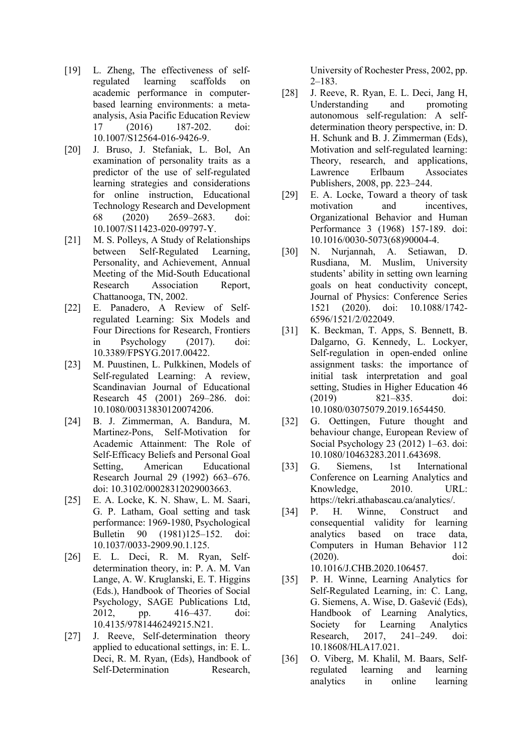- [19] L. Zheng, The effectiveness of selfregulated learning scaffolds on academic performance in computerbased learning environments: a metaanalysis, Asia Pacific Education Review 17 (2016) 187-202. doi: 10.1007/S12564-016-9426-9.
- [20] J. Bruso, J. Stefaniak, L. Bol, An examination of personality traits as a predictor of the use of self-regulated learning strategies and considerations for online instruction, Educational Technology Research and Development 68 (2020) 2659–2683. doi: 10.1007/S11423-020-09797-Y.
- [21] M. S. Polleys, A Study of Relationships between Self-Regulated Learning, Personality, and Achievement, Annual Meeting of the Mid-South Educational Research Association Report, Chattanooga, TN, 2002.
- [22] E. Panadero, A Review of Selfregulated Learning: Six Models and Four Directions for Research, Frontiers in Psychology (2017). doi: 10.3389/FPSYG.2017.00422.
- [23] M. Puustinen, L. Pulkkinen, Models of Self-regulated Learning: A review, Scandinavian Journal of Educational Research 45 (2001) 269–286. doi: 10.1080/00313830120074206.
- [24] B. J. Zimmerman, A. Bandura, M. Martinez-Pons, Self-Motivation for Academic Attainment: The Role of Self-Efficacy Beliefs and Personal Goal Setting, American Educational Research Journal 29 (1992) 663–676. doi: 10.3102/00028312029003663.
- [25] E. A. Locke, K. N. Shaw, L. M. Saari, G. P. Latham, Goal setting and task performance: 1969-1980, Psychological Bulletin 90 (1981)125–152. doi: 10.1037/0033-2909.90.1.125.
- [26] E. L. Deci, R. M. Ryan, Selfdetermination theory, in: P. A. M. Van Lange, A. W. Kruglanski, E. T. Higgins (Eds.), Handbook of Theories of Social Psychology, SAGE Publications Ltd, 2012, pp. 416–437. doi: 10.4135/9781446249215.N21.
- [27] J. Reeve, Self-determination theory applied to educational settings, in: E. L. Deci, R. M. Ryan, (Eds), Handbook of Self-Determination Research,

University of Rochester Press, 2002, pp.  $2-183$ .

- [28] J. Reeve, R. Ryan, E. L. Deci, Jang H, Understanding and promoting autonomous self-regulation: A selfdetermination theory perspective, in: D. H. Schunk and B. J. Zimmerman (Eds), Motivation and self-regulated learning: Theory, research, and applications, Lawrence Erlbaum Associates Publishers, 2008, pp. 223–244.
- [29] E. A. Locke, Toward a theory of task motivation and incentives, Organizational Behavior and Human Performance 3 (1968) 157-189. doi: 10.1016/0030-5073(68)90004-4.
- [30] N. Nurjannah, A. Setiawan, D. Rusdiana, M. Muslim, University students' ability in setting own learning goals on heat conductivity concept, Journal of Physics: Conference Series 1521 (2020). doi: 10.1088/1742- 6596/1521/2/022049.
- [31] K. Beckman, T. Apps, S. Bennett, B. Dalgarno, G. Kennedy, L. Lockyer, Self-regulation in open-ended online assignment tasks: the importance of initial task interpretation and goal setting, Studies in Higher Education 46 (2019) 821–835. doi: 10.1080/03075079.2019.1654450.
- [32] G. Oettingen, Future thought and behaviour change, European Review of Social Psychology 23 (2012) 1–63. doi: 10.1080/10463283.2011.643698.
- [33] G. Siemens, 1st International Conference on Learning Analytics and Knowledge, 2010. URL: https://tekri.athabascau.ca/analytics/.
- [34] P. H. Winne, Construct and consequential validity for learning analytics based on trace data, Computers in Human Behavior 112 (2020). doi: 10.1016/J.CHB.2020.106457.
- [35] P. H. Winne, Learning Analytics for Self-Regulated Learning, in: C. Lang, G. Siemens, A. Wise, D. Gašević (Eds), Handbook of Learning Analytics, Society for Learning Analytics Research, 2017, 241–249. doi: 10.18608/HLA17.021.
- [36] O. Viberg, M. Khalil, M. Baars, Selfregulated learning and learning analytics in online learning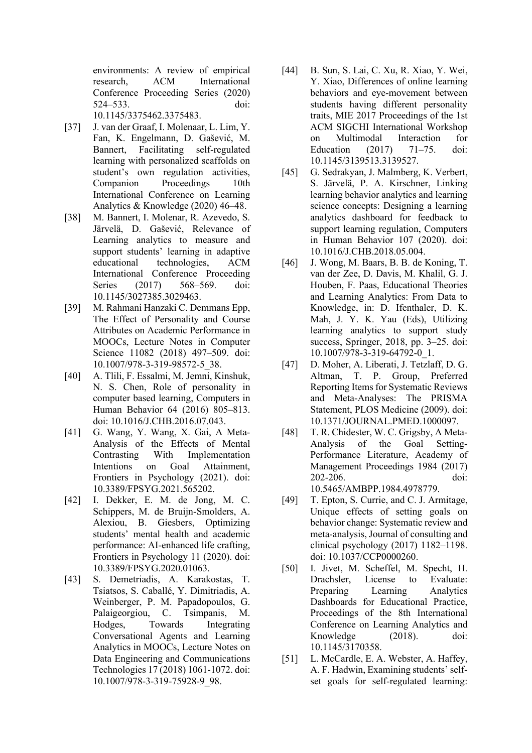environments: A review of empirical research, ACM International Conference Proceeding Series (2020) 524–533. doi: 10.1145/3375462.3375483.

- [37] J. van der Graaf, I. Molenaar, L. Lim, Y. Fan, K. Engelmann, D. Gašević, M. Bannert, Facilitating self-regulated learning with personalized scaffolds on student's own regulation activities, Companion Proceedings 10th International Conference on Learning Analytics & Knowledge (2020) 46–48.
- [38] M. Bannert, I. Molenar, R. Azevedo, S. Järvelä, D. Gašević, Relevance of Learning analytics to measure and support students' learning in adaptive educational technologies, ACM International Conference Proceeding Series (2017) 568–569. doi: 10.1145/3027385.3029463.
- [39] M. Rahmani Hanzaki C. Demmans Epp, The Effect of Personality and Course Attributes on Academic Performance in MOOCs, Lecture Notes in Computer Science 11082 (2018) 497–509. doi: 10.1007/978-3-319-98572-5\_38.
- [40] A. Tlili, F. Essalmi, M. Jemni, Kinshuk, N. S. Chen, Role of personality in computer based learning, Computers in Human Behavior 64 (2016) 805–813. doi: 10.1016/J.CHB.2016.07.043.
- [41] G. Wang, Y. Wang, X. Gai, A Meta-Analysis of the Effects of Mental Contrasting With Implementation Intentions on Goal Attainment. Frontiers in Psychology (2021). doi: 10.3389/FPSYG.2021.565202.
- [42] I. Dekker, E. M. de Jong, M. C. Schippers, M. de Bruijn-Smolders, A. Alexiou, B. Giesbers, Optimizing students' mental health and academic performance: AI-enhanced life crafting, Frontiers in Psychology 11 (2020). doi: 10.3389/FPSYG.2020.01063.
- [43] S. Demetriadis, A. Karakostas, T. Tsiatsos, S. Caballé, Y. Dimitriadis, A. Weinberger, P. M. Papadopoulos, G. Palaigeorgiou, C. Tsimpanis, M. Hodges, Towards Integrating Conversational Agents and Learning Analytics in MOOCs, Lecture Notes on Data Engineering and Communications Technologies 17 (2018) 1061-1072. doi: 10.1007/978-3-319-75928-9\_98.
- [44] B. Sun, S. Lai, C. Xu, R. Xiao, Y. Wei, Y. Xiao, Differences of online learning behaviors and eye-movement between students having different personality traits, MIE 2017 Proceedings of the 1st ACM SIGCHI International Workshop on Multimodal Interaction for Education (2017) 71–75. doi: 10.1145/3139513.3139527.
- [45] G. Sedrakyan, J. Malmberg, K. Verbert, S. Järvelä, P. A. Kirschner, Linking learning behavior analytics and learning science concepts: Designing a learning analytics dashboard for feedback to support learning regulation, Computers in Human Behavior 107 (2020). doi: 10.1016/J.CHB.2018.05.004.
- [46] J. Wong, M. Baars, B. B. de Koning, T. van der Zee, D. Davis, M. Khalil, G. J. Houben, F. Paas, Educational Theories and Learning Analytics: From Data to Knowledge, in: D. Ifenthaler, D. K. Mah, J. Y. K. Yau (Eds), Utilizing learning analytics to support study success, Springer, 2018, pp. 3–25. doi: 10.1007/978-3-319-64792-0\_1.
- [47] D. Moher, A. Liberati, J. Tetzlaff, D. G. Altman, T. P. Group, Preferred Reporting Items for Systematic Reviews and Meta-Analyses: The PRISMA Statement, PLOS Medicine (2009). doi: 10.1371/JOURNAL.PMED.1000097.
- [48] T. R. Chidester, W. C. Grigsby, A Meta-Analysis of the Goal Setting-Performance Literature, Academy of Management Proceedings 1984 (2017) 202-206. doi: 10.5465/AMBPP.1984.4978779.
- [49] T. Epton, S. Currie, and C. J. Armitage, Unique effects of setting goals on behavior change: Systematic review and meta-analysis, Journal of consulting and clinical psychology (2017) 1182–1198. doi: 10.1037/CCP0000260.
- [50] I. Jivet, M. Scheffel, M. Specht, H. Drachsler, License to Evaluate: Preparing Learning Analytics Dashboards for Educational Practice, Proceedings of the 8th International Conference on Learning Analytics and Knowledge (2018). doi: 10.1145/3170358.
- [51] L. McCardle, E. A. Webster, A. Haffey, A. F. Hadwin, Examining students' selfset goals for self-regulated learning: